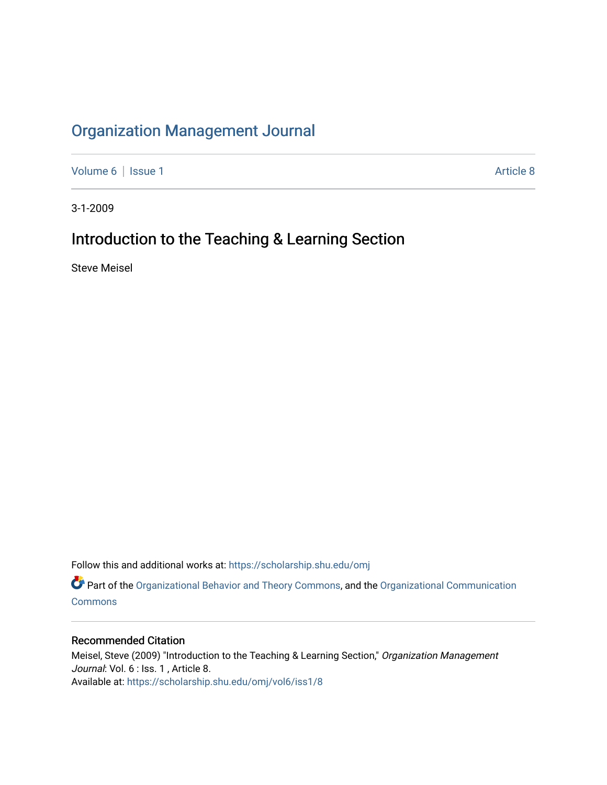## [Organization Management Journal](https://scholarship.shu.edu/omj)

[Volume 6](https://scholarship.shu.edu/omj/vol6) | [Issue 1](https://scholarship.shu.edu/omj/vol6/iss1) Article 8

3-1-2009

## Introduction to the Teaching & Learning Section

Steve Meisel

Follow this and additional works at: [https://scholarship.shu.edu/omj](https://scholarship.shu.edu/omj?utm_source=scholarship.shu.edu%2Fomj%2Fvol6%2Fiss1%2F8&utm_medium=PDF&utm_campaign=PDFCoverPages) 

Part of the [Organizational Behavior and Theory Commons,](http://network.bepress.com/hgg/discipline/639?utm_source=scholarship.shu.edu%2Fomj%2Fvol6%2Fiss1%2F8&utm_medium=PDF&utm_campaign=PDFCoverPages) and the [Organizational Communication](http://network.bepress.com/hgg/discipline/335?utm_source=scholarship.shu.edu%2Fomj%2Fvol6%2Fiss1%2F8&utm_medium=PDF&utm_campaign=PDFCoverPages) **[Commons](http://network.bepress.com/hgg/discipline/335?utm_source=scholarship.shu.edu%2Fomj%2Fvol6%2Fiss1%2F8&utm_medium=PDF&utm_campaign=PDFCoverPages)** 

## Recommended Citation

Meisel, Steve (2009) "Introduction to the Teaching & Learning Section," Organization Management Journal: Vol. 6 : Iss. 1, Article 8. Available at: [https://scholarship.shu.edu/omj/vol6/iss1/8](https://scholarship.shu.edu/omj/vol6/iss1/8?utm_source=scholarship.shu.edu%2Fomj%2Fvol6%2Fiss1%2F8&utm_medium=PDF&utm_campaign=PDFCoverPages)